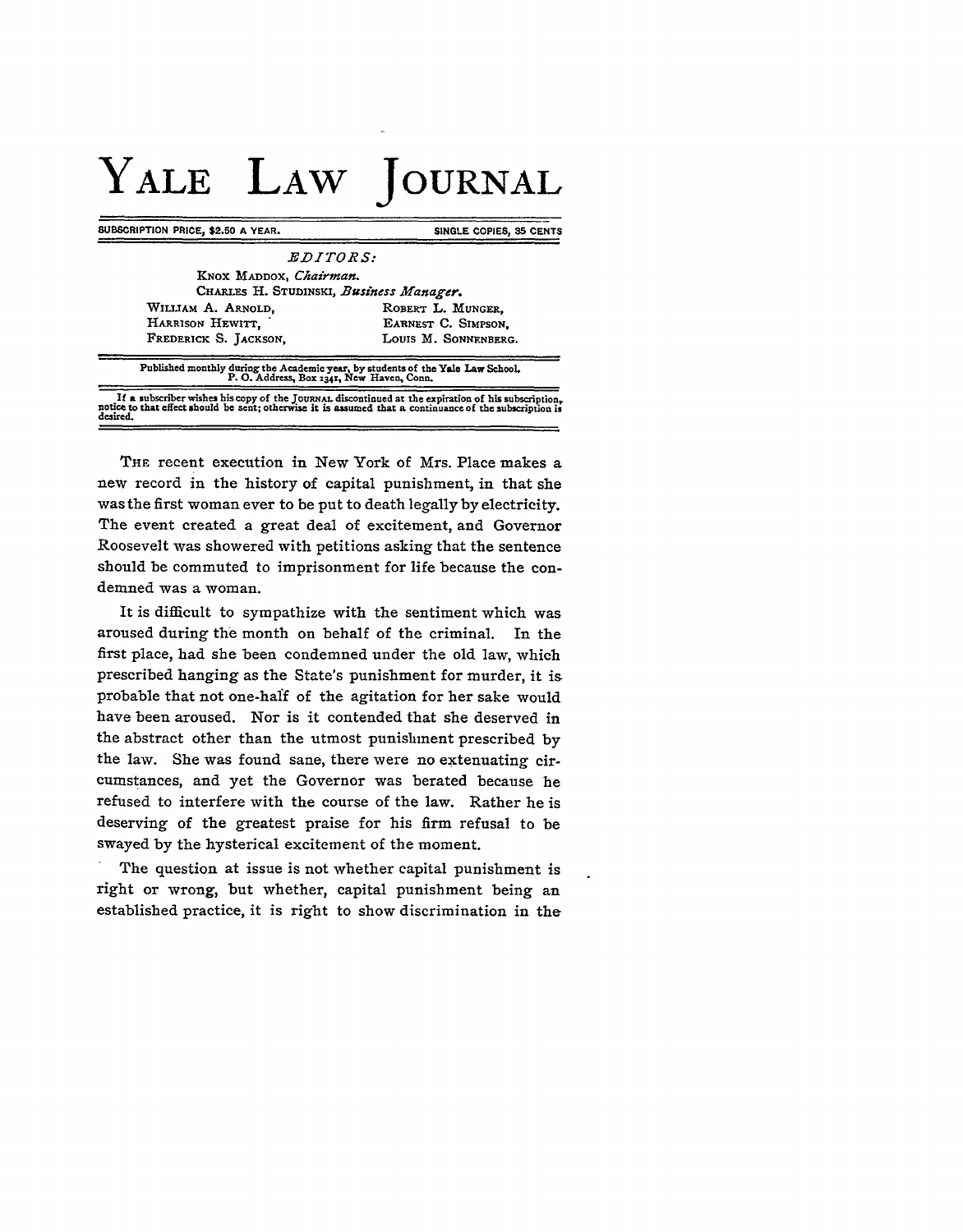## **YALE LAW JOURNAL**

**SUBSCRIPTION PRICE, \$2.50 A YEAR.** SINGLE COPIES, 35 CENTS

*EDITORS:* **KNox** *MADDOX, Chairman.* **CuARLEs** H. **STUDINSKI,** *Business Manager.* WILLIAM A. ARNOLD, ROBERT L. MUNGER, HARRISON HEWITT, **EARNEST C. SIMPSON,** LOUIS M. SONNENBERG. FREDERICK S. JACKSON.

**Published monthly during the Academic year, by students of the Yale** *Law* **School. P. 0. Address, Box x34r, New Haven, Conn.**

If a subscriber wishes his copy of the JOURNAL discontinued at the expiration of his subscription, notice to that effect should be sent; otherwise it is assumed that a continuance of the subscription is desired.

**THE** recent execution in New York of Mrs. Place makes a new record in the history of capital punishment, in that she was the first woman ever to be put to death legally by electricity. The event created a great deal of excitement, and Governor Roosevelt was showered with petitions asking that the sentence should be commuted to imprisonment for life because the condemned was a woman.

It is difficult to sympathize with the sentiment which was aroused during the month on behalf of the criminal. In the first place, had she been condemned under the old law, which prescribed hanging as the State's punishment for murder, it is probable that not one-half of the agitation for her sake would have been aroused. Nor is it contended that she deserved in the abstract other than the utmost punishment prescribed by the law. She was found sane, there were no extenuating circumstances, and yet the Governor was berated because he refused to interfere with the course of the law. Rather he is deserving of the greatest praise for his firm refusal to be swayed **by** the hysterical excitement of the moment.

The question at issue is not whether capital punishment is right or wrong, but whether, capital punishment being an established practice, it is right to show discrimination in the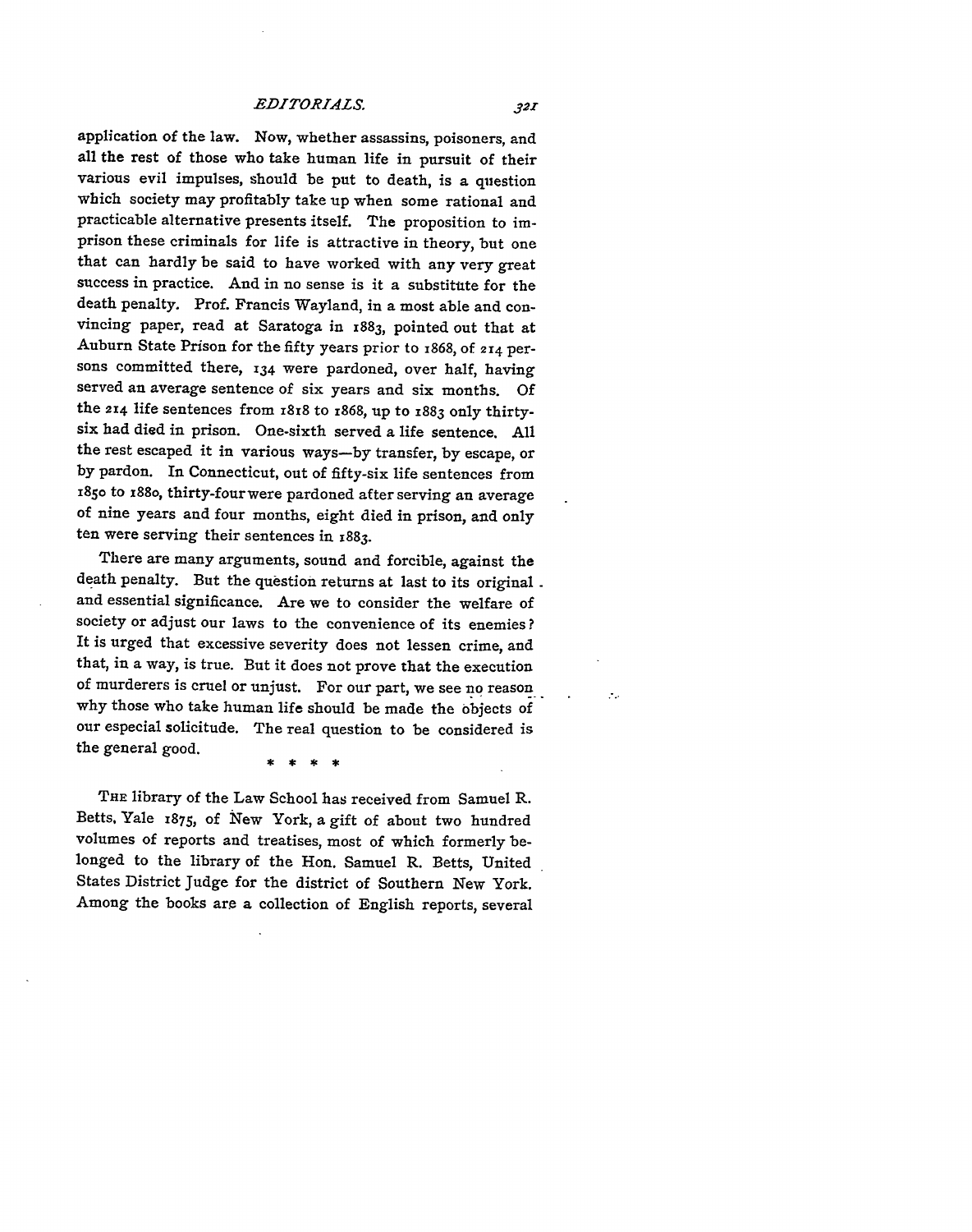*EDITORIALS.*

application of the law. Now, whether assassins, poisoners, and all the rest of those who take human life in pursuit of their various evil impulses, should be put to death, is a question which society may profitably take up when some rational and practicable alternative presents itself. The proposition to imprison these criminals for life is attractive in theory, but one that can hardly be said to have worked with any very great success in practice. And in no sense is it a substitute for the death penalty. Prof. Francis Wayland, in a most able and convincing paper, read at Saratoga in 1883, pointed out that at Auburn State Prison for the fifty years prior to 1868, of **2r4** persons committed there, **134** were pardoned, over half, having served an average sentence of six years and six months. Of the **2r4** life sentences from 1818 to **z868,** up to **1883** only thirtysix had died in prison. One-sixth served a life sentence. **All** the rest escaped it in various ways-by transfer, **by** escape, or **by** pardon. **In** Connecticut, out of fifty-six life sentences from i85o to z88o, thirty-four were pardoned after serving an average of nine years and four months, eight died in prison, and only ten were serving their sentences in **1883.**

There are many arguments, sound and forcible, against the death penalty. But the question returns at last to its original. and essential significance. Are we to consider the welfare of society or adjust our laws to the convenience of its enemies? It is urged that excessive severity does not lessen crime, and that, in a way, is true. But it does not prove that the execution of murderers is cruel or unjust. For our part, we see no reason why those who take human life should be made the objects of our especial solicitude. The real question to be considered is the general good.

**THE** library of the Law School has received from Samuel R. Betts, Yale **1875,** of New York, a gift of about two hundred volumes of reports and treatises, most of which formerly belonged to the library of the Hon. Samuel R. Betts, United States District Judge for the district of Southern New York. Among the books are a collection of English reports, several  $\mathcal{L}_{\mathcal{L}}$